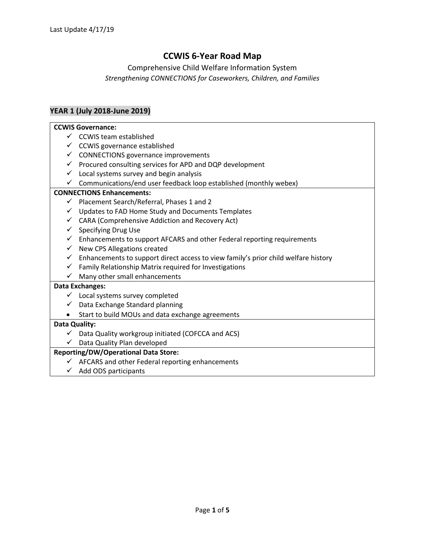# **CCWIS 6-Year Road Map**

## Comprehensive Child Welfare Information System *Strengthening CONNECTIONS for Caseworkers, Children, and Families*

## **YEAR 1 (July 2018-June 2019)**

#### **CCWIS Governance:**

- $\checkmark$  CCWIS team established
- $\checkmark$  CCWIS governance established
- $\checkmark$  CONNECTIONS governance improvements
- ✓ Procured consulting services for APD and DQP development
- $\checkmark$  Local systems survey and begin analysis
- $\checkmark$  Communications/end user feedback loop established (monthly webex)

## **CONNECTIONS Enhancements:**

- $\checkmark$  Placement Search/Referral, Phases 1 and 2
- ✓ Updates to FAD Home Study and Documents Templates
- $\checkmark$  CARA (Comprehensive Addiction and Recovery Act)
- $\checkmark$  Specifying Drug Use
- $\checkmark$  Enhancements to support AFCARS and other Federal reporting requirements
- ✓ New CPS Allegations created
- $\checkmark$  Enhancements to support direct access to view family's prior child welfare history
- ✓ Family Relationship Matrix required for Investigations
- $\checkmark$  Many other small enhancements

## **Data Exchanges:**

- $\checkmark$  Local systems survey completed
- $\checkmark$  Data Exchange Standard planning
- Start to build MOUs and data exchange agreements

## **Data Quality:**

- $\checkmark$  Data Quality workgroup initiated (COFCCA and ACS)
- ✓ Data Quality Plan developed

## **Reporting/DW/Operational Data Store:**

- $\checkmark$  AFCARS and other Federal reporting enhancements
- $\checkmark$  Add ODS participants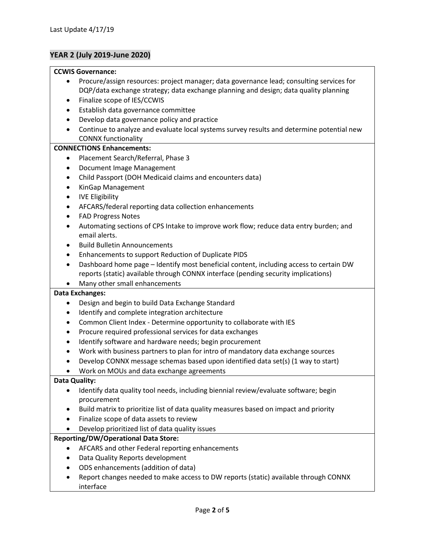## **YEAR 2 (July 2019-June 2020)**

#### **CCWIS Governance:**

- Procure/assign resources: project manager; data governance lead; consulting services for DQP/data exchange strategy; data exchange planning and design; data quality planning
- Finalize scope of IES/CCWIS
- Establish data governance committee
- Develop data governance policy and practice
- Continue to analyze and evaluate local systems survey results and determine potential new CONNX functionality

#### **CONNECTIONS Enhancements:**

- Placement Search/Referral, Phase 3
- Document Image Management
- Child Passport (DOH Medicaid claims and encounters data)
- KinGap Management
- IVE Eligibility
- AFCARS/federal reporting data collection enhancements
- FAD Progress Notes
- Automating sections of CPS Intake to improve work flow; reduce data entry burden; and email alerts.
- Build Bulletin Announcements
- Enhancements to support Reduction of Duplicate PIDS
- Dashboard home page Identify most beneficial content, including access to certain DW reports (static) available through CONNX interface (pending security implications)
- Many other small enhancements

## **Data Exchanges:**

- Design and begin to build Data Exchange Standard
- Identify and complete integration architecture
- Common Client Index Determine opportunity to collaborate with IES
- Procure required professional services for data exchanges
- Identify software and hardware needs; begin procurement
- Work with business partners to plan for intro of mandatory data exchange sources
- Develop CONNX message schemas based upon identified data set(s) (1 way to start)
- Work on MOUs and data exchange agreements

## **Data Quality:**

- Identify data quality tool needs, including biennial review/evaluate software; begin procurement
- Build matrix to prioritize list of data quality measures based on impact and priority
- Finalize scope of data assets to review
- Develop prioritized list of data quality issues

## **Reporting/DW/Operational Data Store:**

- AFCARS and other Federal reporting enhancements
- Data Quality Reports development
- ODS enhancements (addition of data)
- Report changes needed to make access to DW reports (static) available through CONNX interface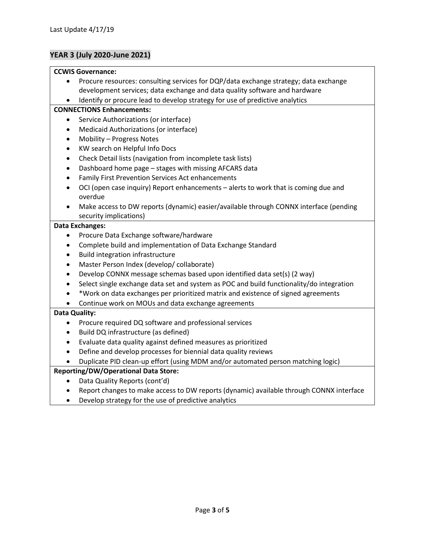## **YEAR 3 (July 2020-June 2021)**

#### **CCWIS Governance:**

- Procure resources: consulting services for DQP/data exchange strategy; data exchange development services; data exchange and data quality software and hardware
- Identify or procure lead to develop strategy for use of predictive analytics

#### **CONNECTIONS Enhancements:**

- Service Authorizations (or interface)
- Medicaid Authorizations (or interface)
- Mobility Progress Notes
- KW search on Helpful Info Docs
- Check Detail lists (navigation from incomplete task lists)
- Dashboard home page stages with missing AFCARS data
- Family First Prevention Services Act enhancements
- OCI (open case inquiry) Report enhancements alerts to work that is coming due and overdue
- Make access to DW reports (dynamic) easier/available through CONNX interface (pending security implications)

#### **Data Exchanges:**

- Procure Data Exchange software/hardware
- Complete build and implementation of Data Exchange Standard
- Build integration infrastructure
- Master Person Index (develop/ collaborate)
- Develop CONNX message schemas based upon identified data set(s) (2 way)
- Select single exchange data set and system as POC and build functionality/do integration
- \*Work on data exchanges per prioritized matrix and existence of signed agreements
- Continue work on MOUs and data exchange agreements

## **Data Quality:**

- Procure required DQ software and professional services
- Build DQ infrastructure (as defined)
- Evaluate data quality against defined measures as prioritized
- Define and develop processes for biennial data quality reviews
- Duplicate PID clean-up effort (using MDM and/or automated person matching logic)

## **Reporting/DW/Operational Data Store:**

- Data Quality Reports (cont'd)
- Report changes to make access to DW reports (dynamic) available through CONNX interface
- Develop strategy for the use of predictive analytics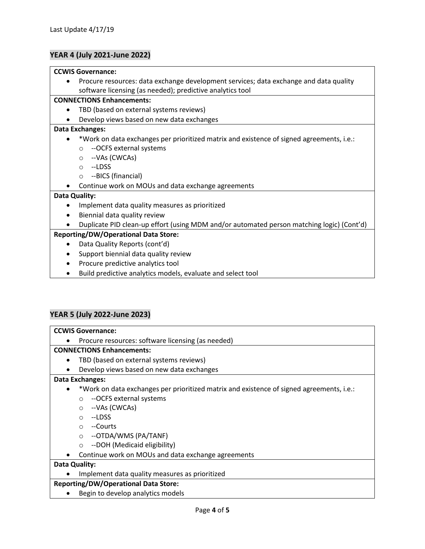## **YEAR 4 (July 2021-June 2022)**

#### **CCWIS Governance:**

• Procure resources: data exchange development services; data exchange and data quality software licensing (as needed); predictive analytics tool

## **CONNECTIONS Enhancements:**

- TBD (based on external systems reviews)
- Develop views based on new data exchanges

#### **Data Exchanges:**

- \*Work on data exchanges per prioritized matrix and existence of signed agreements, i.e.:
	- o --OCFS external systems
	- o --VAs (CWCAs)
	- o --LDSS
	- o --BICS (financial)
- Continue work on MOUs and data exchange agreements

## **Data Quality:**

- Implement data quality measures as prioritized
- Biennial data quality review
- Duplicate PID clean-up effort (using MDM and/or automated person matching logic) (Cont'd)

## **Reporting/DW/Operational Data Store:**

- Data Quality Reports (cont'd)
- Support biennial data quality review
- Procure predictive analytics tool
- Build predictive analytics models, evaluate and select tool

## **YEAR 5 (July 2022-June 2023)**

#### **CCWIS Governance:**

• Procure resources: software licensing (as needed)

## **CONNECTIONS Enhancements:**

- TBD (based on external systems reviews)
- Develop views based on new data exchanges

## **Data Exchanges:**

- \*Work on data exchanges per prioritized matrix and existence of signed agreements, i.e.:
	- o --OCFS external systems
	- o --VAs (CWCAs)
	- o --LDSS
	- o --Courts
	- o --OTDA/WMS (PA/TANF)
	- o --DOH (Medicaid eligibility)
	- Continue work on MOUs and data exchange agreements

## **Data Quality:**

• Implement data quality measures as prioritized

## **Reporting/DW/Operational Data Store:**

• Begin to develop analytics models